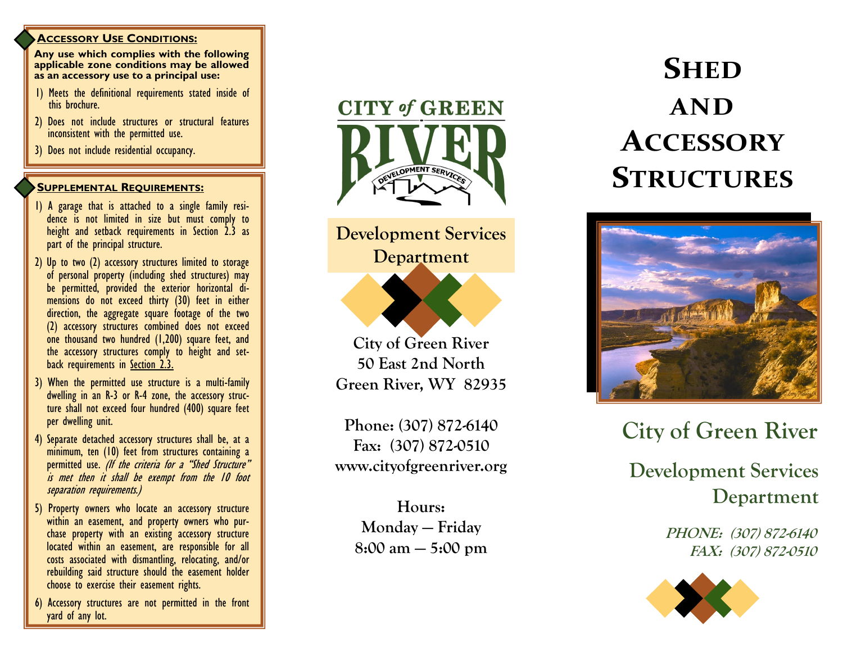### **ACCESSORY USE CONDITIONS:**

**Any use which complies with the following applicable zone conditions may be allowed as an accessory use to a principal use:**

- 1) Meets the definitional requirements stated inside of this brochure.
- 2) Does not include structures or structural features inconsistent with the permitted use.
- 3) Does not include residential occupancy.

# **SUPPLEMENTAL REQUIREMENTS :**

- 1) A garage that is attached to a single family residence is not limited in size but must comply to height and setback requirements in Section 2.3 as part of the principal structure.
- 2) Up to two (2) accessory structures limited to storage of personal property (including shed structures) may be permitted, provided the exterior horizontal dimensions do not exceed thirty (30) feet in either direction, the aggregate square footage of the two (2) accessory structures combined does not exceed one thousand two hundred (1,200) square feet, and the accessory structures comply to height and setback requirements in Section 2.3.
- 3) When the permitted use structure is a multi -family dwelling in an R-3 or R-4 zone, the accessory structure shall not exceed four hundred (400) square feet per dwelling unit.
- 4) Separate detached accessory structures shall be, at a minimum, ten (10) feet from structures containing a permitted use. *(If the criteria for a "Shed Structure"* is met then it shall be exempt from the 10 foot separation requirements.)
- 5) Property owners who locate an accessory structure within an easement, and property owners who purchase property with an existing accessory structure located within an easement, are responsible for all costs associated with dismantling, relocating, and/or rebuilding said structure should the easement holder choose to exercise their easement rights.
- 6) Accessory structures are not permitted in the front yard of any lot.



**Development Services Department**

**City of Green River 50 East 2nd North Green River, WY 82935**

**Phone: (307) 872 -6140 Fax: (307) 872 -0510 www.cityofgreenriver.org**

> **Hours: Monday — Friday 8:00 am — 5:00 pm**

# **SHED AND ACCESSORY STRUCTURES**



**City of Green River Development Services Department**

**PHONE: (307) 872-6140 FAX: (307) 872-0510**